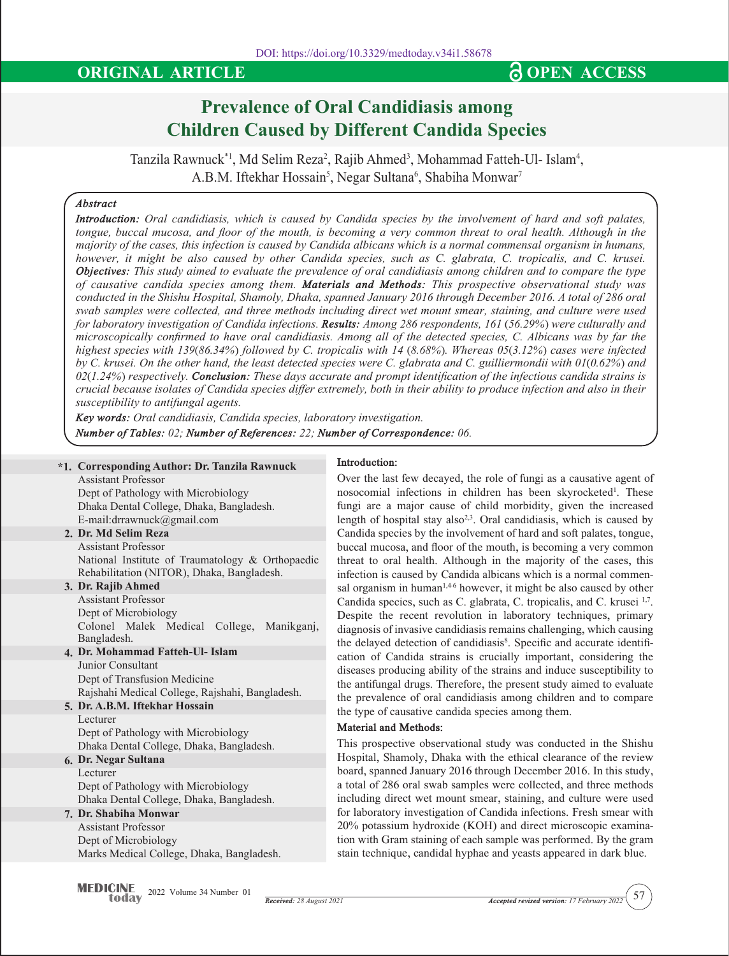# **Prevalence of Oral Candidiasis among Children Caused by Different Candida Species**

Tanzila Rawnuck\*1, Md Selim Reza<sup>2</sup>, Rajib Ahmed<sup>3</sup>, Mohammad Fatteh-Ul- Islam<sup>4</sup>, A.B.M. Iftekhar Hossain $^5$ , Negar Sultana $^6$ , Shabiha Monwar $^7$ 

## *Abstract*

*Introduction: Oral candidiasis, which is caused by Candida species by the involvement of hard and soft palates, tongue, buccal mucosa, and floor of the mouth, is becoming a very common threat to oral health. Although in the majority of the cases, this infection is caused by Candida albicans which is a normal commensal organism in humans, however, it might be also caused by other Candida species, such as C. glabrata, C. tropicalis, and C. krusei. Objectives: This study aimed to evaluate the prevalence of oral candidiasis among children and to compare the type of causative candida species among them. Materials and Methods: This prospective observational study was conducted in the Shishu Hospital, Shamoly, Dhaka, spanned January 2016 through December 2016. A total of 286 oral swab samples were collected, and three methods including direct wet mount smear, staining, and culture were used for laboratory investigation of Candida infections. Results: Among 286 respondents, 161 (56.29%) were culturally and microscopically confirmed to have oral candidiasis. Among all of the detected species, C. Albicans was by far the highest species with 139(86.34%) followed by C. tropicalis with 14 (8.68%). Whereas 05(3.12%) cases were infected by C. krusei. On the other hand, the least detected species were C. glabrata and C. guilliermondii with 01(0.62%) and 02(1.24%) respectively. Conclusion: These days accurate and prompt identification of the infectious candida strains is crucial because isolates of Candida species differ extremely, both in their ability to produce infection and also in their susceptibility to antifungal agents.*

*Key words: Oral candidiasis, Candida species, laboratory investigation.*

*Number of Tables: 02; Number of References: 22; Number of Correspondence: 06.*

## **\*1. Corresponding Author: Dr. Tanzila Rawnuck**

#### **Introduction:**

Over the last few decayed, the role of fungi as a causative agent of nosocomial infections in children has been skyrocketed<sup>1</sup>. These fungi are a major cause of child morbidity, given the increased length of hospital stay also<sup>2,3</sup>. Oral candidiasis, which is caused by Candida species by the involvement of hard and soft palates, tongue, buccal mucosa, and floor of the mouth, is becoming a very common threat to oral health. Although in the majority of the cases, this infection is caused by Candida albicans which is a normal commensal organism in human<sup>1,46</sup> however, it might be also caused by other Candida species, such as C. glabrata, C. tropicalis, and C. krusei 1,7. Despite the recent revolution in laboratory techniques, primary diagnosis of invasive candidiasis remains challenging, which causing the delayed detection of candidiasis<sup>8</sup>. Specific and accurate identification of Candida strains is crucially important, considering the diseases producing ability of the strains and induce susceptibility to the antifungal drugs. Therefore, the present study aimed to evaluate the prevalence of oral candidiasis among children and to compare

the type of causative candida species among them.

This prospective observational study was conducted in the Shishu Hospital, Shamoly, Dhaka with the ethical clearance of the review board, spanned January 2016 through December 2016. In this study, a total of 286 oral swab samples were collected, and three methods including direct wet mount smear, staining, and culture were used for laboratory investigation of Candida infections. Fresh smear with 20% potassium hydroxide (KOH) and direct microscopic examination with Gram staining of each sample was performed. By the gram stain technique, candidal hyphae and yeasts appeared in dark blue.

**Material and Methods:**

Assistant Professor Dept of Pathology with Microbiology Dhaka Dental College, Dhaka, Bangladesh. E-mail:drrawnuck@gmail.com

# **2. Dr. Md Selim Reza**

Assistant Professor National Institute of Traumatology & Orthopaedic Rehabilitation (NITOR), Dhaka, Bangladesh.

**3. Dr. Rajib Ahmed** Assistant Professor Dept of Microbiology Colonel Malek Medical College, Manikganj,

**4. Dr. Mohammad Fatteh-Ul- Islam** Bangladesh. Junior Consultant Dept of Transfusion Medicine

# Rajshahi Medical College, Rajshahi, Bangladesh.

**5. Dr. A.B.M. Iftekhar Hossain** Lecturer Dept of Pathology with Microbiology

Dhaka Dental College, Dhaka, Bangladesh.

#### **6. Dr. Negar Sultana**  Lecturer

Dept of Pathology with Microbiology Dhaka Dental College, Dhaka, Bangladesh.

# **7. Dr. Shabiha Monwar**

Assistant Professor Dept of Microbiology Marks Medical College, Dhaka, Bangladesh.

**MEDICINE** 2022 Volume 34 Number 01 today

*Received: 28 August 2021 Accepted revised version: 17 February 2022*

57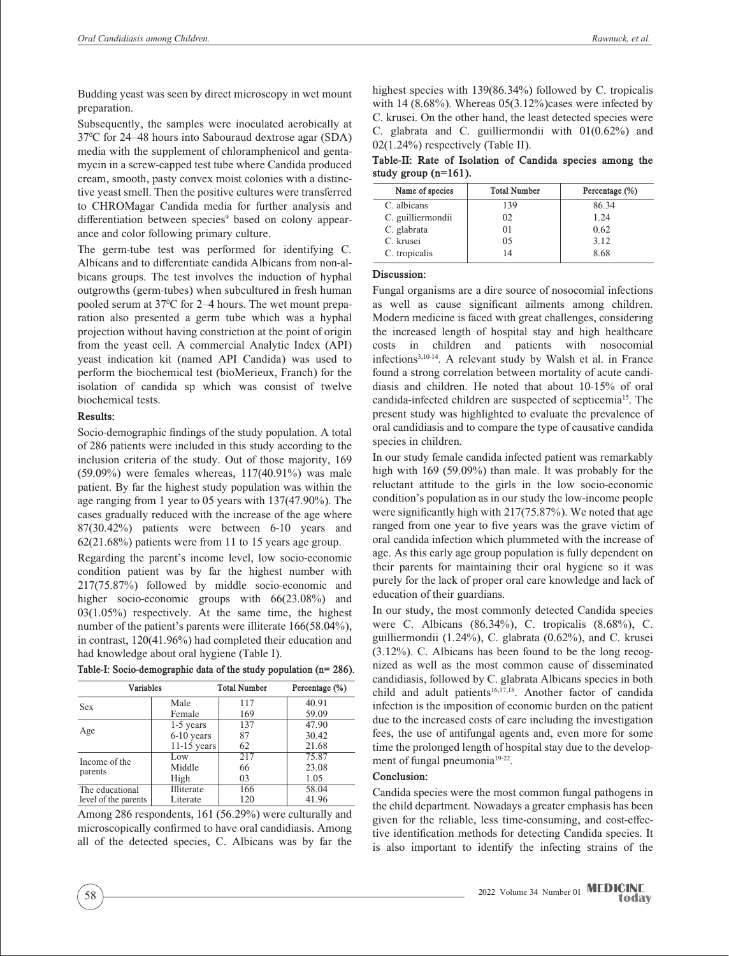Budding yeast was seen by direct microscopy in wet mount preparation.

Subsequently, the samples were inoculated aerobically at 37<sup>0</sup> C for 24–48 hours into Sabouraud dextrose agar (SDA) media with the supplement of chloramphenicol and gentamycin in a screw-capped test tube where Candida produced cream, smooth, pasty convex moist colonies with a distinctive yeast smell. Then the positive cultures were transferred to CHROMagar Candida media for further analysis and differentiation between species<sup>9</sup> based on colony appearance and color following primary culture.

The germ-tube test was performed for identifying C. Albicans and to differentiate candida Albicans from non-albicans groups. The test involves the induction of hyphal outgrowths (germ-tubes) when subcultured in fresh human pooled serum at 37<sup>o</sup>C for 2–4 hours. The wet mount preparation also presented a germ tube which was a hyphal projection without having constriction at the point of origin from the yeast cell. A commercial Analytic Index (API) yeast indication kit (named API Candida) was used to perform the biochemical test (bioMerieux, Franch) for the isolation of candida sp which was consist of twelve biochemical tests.

#### **Results:**

Socio-demographic findings of the study population. A total of 286 patients were included in this study according to the inclusion criteria of the study. Out of those majority, 169 (59.09%) were females whereas, 117(40.91%) was male patient. By far the highest study population was within the age ranging from 1 year to 05 years with 137(47.90%). The cases gradually reduced with the increase of the age where 87(30.42%) patients were between 6-10 years and 62(21.68%) patients were from 11 to 15 years age group.

Regarding the parent's income level, low socio-economic condition patient was by far the highest number with 217(75.87%) followed by middle socio-economic and higher socio-economic groups with 66(23.08%) and 03(1.05%) respectively. At the same time, the highest number of the patient's parents were illiterate 166(58.04%), in contrast, 120(41.96%) had completed their education and had knowledge about oral hygiene (Table I).

**Table-I: Socio-demographic data of the study population (n= 286).**

| Variables                               |               | <b>Total Number</b> | Percentage (%) |
|-----------------------------------------|---------------|---------------------|----------------|
| <b>Sex</b>                              | Male          | 117                 | 40.91          |
|                                         | Female        | 169                 | 59.09          |
| Age                                     | 1-5 years     | 137                 | 47.90          |
|                                         | 6-10 years    | 87                  | 30.42          |
|                                         | $11-15$ years | 62                  | 21.68          |
| Income of the<br>parents                | Low           | 217                 | 75.87          |
|                                         | Middle        | 66                  | 23.08          |
|                                         | High          | 03                  | 1.05           |
| The educational<br>level of the parents | Illiterate    | 166                 | 58.04          |
|                                         | Literate      | 120                 | 41.96          |

Among 286 respondents, 161 (56.29%) were culturally and microscopically confirmed to have oral candidiasis. Among all of the detected species, C. Albicans was by far the

highest species with 139(86.34%) followed by C. tropicalis with 14  $(8.68\%)$ . Whereas 05 $(3.12\%)$  cases were infected by C. krusei. On the other hand, the least detected species were C. glabrata and C. guilliermondii with 01(0.62%) and 02(1.24%) respectively (Table II).

**Table-II: Rate of Isolation of Candida species among the study group (n=161).**

| Name of species   | <b>Total Number</b> | Percentage (%) |
|-------------------|---------------------|----------------|
| C. albicans       | 139                 | 86.34          |
| C. guilliermondii | 02                  | 1 24           |
| C. glabrata       | 01                  | 0.62           |
| C. krusei         | 05                  | 3.12           |
| C. tropicalis     | 14                  | 8.68           |

## **Discussion:**

Fungal organisms are a dire source of nosocomial infections as well as cause significant ailments among children. Modern medicine is faced with great challenges, considering the increased length of hospital stay and high healthcare costs in children and patients with nosocomial infections3,10-14. A relevant study by Walsh et al. in France found a strong correlation between mortality of acute candidiasis and children. He noted that about 10-15% of oral candida-infected children are suspected of septicemia15. The present study was highlighted to evaluate the prevalence of oral candidiasis and to compare the type of causative candida species in children.

In our study female candida infected patient was remarkably high with 169 (59.09%) than male. It was probably for the reluctant attitude to the girls in the low socio-economic condition's population as in our study the low-income people were significantly high with 217(75.87%). We noted that age ranged from one year to five years was the grave victim of oral candida infection which plummeted with the increase of age. As this early age group population is fully dependent on their parents for maintaining their oral hygiene so it was purely for the lack of proper oral care knowledge and lack of education of their guardians.

In our study, the most commonly detected Candida species were C. Albicans (86.34%), C. tropicalis (8.68%), C. guilliermondii (1.24%), C. glabrata (0.62%), and C. krusei (3.12%). C. Albicans has been found to be the long recognized as well as the most common cause of disseminated candidiasis, followed by C. glabrata Albicans species in both child and adult patients<sup>16,17,18</sup>. Another factor of candida infection is the imposition of economic burden on the patient due to the increased costs of care including the investigation fees, the use of antifungal agents and, even more for some time the prolonged length of hospital stay due to the development of fungal pneumonia<sup>19-22</sup>.

# **Conclusion:**

Candida species were the most common fungal pathogens in the child department. Nowadays a greater emphasis has been given for the reliable, less time-consuming, and cost-effective identification methods for detecting Candida species. It is also important to identify the infecting strains of the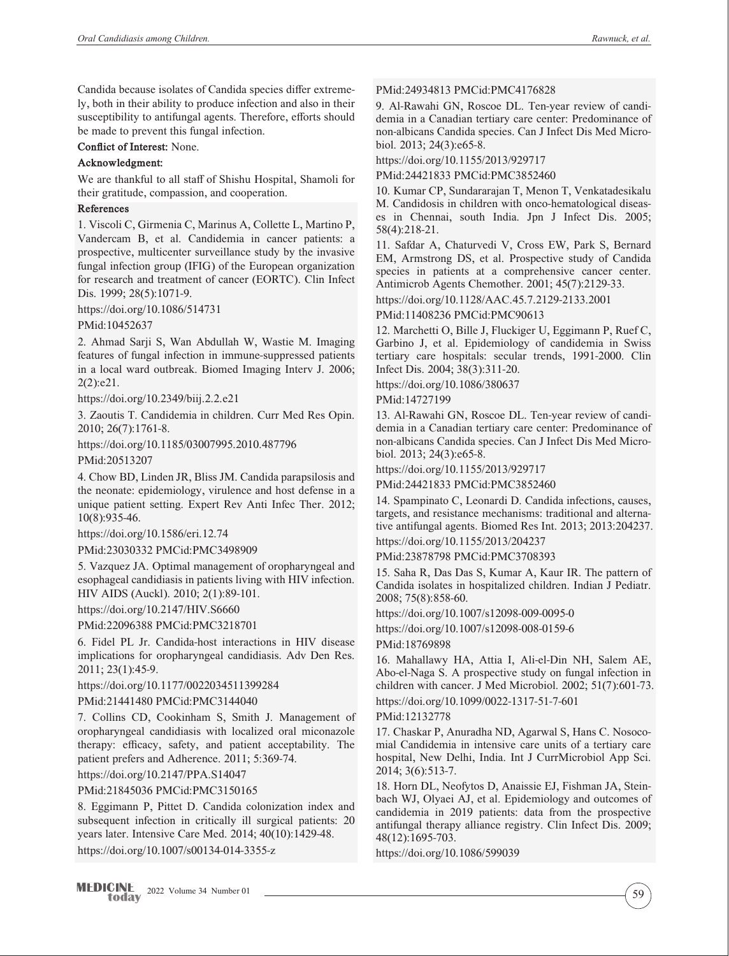Candida because isolates of Candida species differ extremely, both in their ability to produce infection and also in their susceptibility to antifungal agents. Therefore, efforts should be made to prevent this fungal infection.

**Conflict of Interest:** None.

#### **Acknowledgment:**

We are thankful to all staff of Shishu Hospital, Shamoli for their gratitude, compassion, and cooperation.

#### **References**

1. Viscoli C, Girmenia C, Marinus A, Collette L, Martino P, Vandercam B, et al. Candidemia in cancer patients: a prospective, multicenter surveillance study by the invasive fungal infection group (IFIG) of the European organization for research and treatment of cancer (EORTC). Clin Infect Dis. 1999; 28(5):1071-9.

https://doi.org/10.1086/514731

PMid:10452637

2. Ahmad Sarji S, Wan Abdullah W, Wastie M. Imaging features of fungal infection in immune-suppressed patients in a local ward outbreak. Biomed Imaging Interv J. 2006; 2(2):e21.

https://doi.org/10.2349/biij.2.2.e21

3. Zaoutis T. Candidemia in children. Curr Med Res Opin. 2010; 26(7):1761-8.

https://doi.org/10.1185/03007995.2010.487796

PMid:20513207

4. Chow BD, Linden JR, Bliss JM. Candida parapsilosis and the neonate: epidemiology, virulence and host defense in a unique patient setting. Expert Rev Anti Infec Ther. 2012; 10(8):935-46.

https://doi.org/10.1586/eri.12.74

PMid:23030332 PMCid:PMC3498909

5. Vazquez JA. Optimal management of oropharyngeal and esophageal candidiasis in patients living with HIV infection. HIV AIDS (Auckl). 2010; 2(1):89-101.

https://doi.org/10.2147/HIV.S6660

PMid:22096388 PMCid:PMC3218701

6. Fidel PL Jr. Candida-host interactions in HIV disease implications for oropharyngeal candidiasis. Adv Den Res. 2011; 23(1):45-9.

https://doi.org/10.1177/0022034511399284

PMid:21441480 PMCid:PMC3144040

7. Collins CD, Cookinham S, Smith J. Management of oropharyngeal candidiasis with localized oral miconazole therapy: efficacy, safety, and patient acceptability. The patient prefers and Adherence. 2011; 5:369-74.

https://doi.org/10.2147/PPA.S14047

PMid:21845036 PMCid:PMC3150165

8. Eggimann P, Pittet D. Candida colonization index and subsequent infection in critically ill surgical patients: 20 years later. Intensive Care Med. 2014; 40(10):1429-48. https://doi.org/10.1007/s00134-014-3355-z

PMid:24934813 PMCid:PMC4176828

9. Al-Rawahi GN, Roscoe DL. Ten-year review of candidemia in a Canadian tertiary care center: Predominance of non-albicans Candida species. Can J Infect Dis Med Microbiol. 2013; 24(3):e65-8.

https://doi.org/10.1155/2013/929717

PMid:24421833 PMCid:PMC3852460

10. Kumar CP, Sundararajan T, Menon T, Venkatadesikalu M. Candidosis in children with onco-hematological diseases in Chennai, south India. Jpn J Infect Dis. 2005; 58(4):218-21.

11. Safdar A, Chaturvedi V, Cross EW, Park S, Bernard EM, Armstrong DS, et al. Prospective study of Candida species in patients at a comprehensive cancer center. Antimicrob Agents Chemother. 2001; 45(7):2129-33.

https://doi.org/10.1128/AAC.45.7.2129-2133.2001

PMid:11408236 PMCid:PMC90613

12. Marchetti O, Bille J, Fluckiger U, Eggimann P, Ruef C, Garbino J, et al. Epidemiology of candidemia in Swiss tertiary care hospitals: secular trends, 1991-2000. Clin Infect Dis. 2004; 38(3):311-20.

https://doi.org/10.1086/380637

PMid:14727199

13. Al-Rawahi GN, Roscoe DL. Ten-year review of candidemia in a Canadian tertiary care center: Predominance of non-albicans Candida species. Can J Infect Dis Med Microbiol. 2013; 24(3):e65-8.

https://doi.org/10.1155/2013/929717

PMid:24421833 PMCid:PMC3852460

14. Spampinato C, Leonardi D. Candida infections, causes, targets, and resistance mechanisms: traditional and alternative antifungal agents. Biomed Res Int. 2013; 2013:204237. https://doi.org/10.1155/2013/204237

PMid:23878798 PMCid:PMC3708393

15. Saha R, Das Das S, Kumar A, Kaur IR. The pattern of Candida isolates in hospitalized children. Indian J Pediatr. 2008; 75(8):858-60.

https://doi.org/10.1007/s12098-009-0095-0

https://doi.org/10.1007/s12098-008-0159-6

PMid:18769898

16. Mahallawy HA, Attia I, Ali-el-Din NH, Salem AE, Abo-el-Naga S. A prospective study on fungal infection in children with cancer. J Med Microbiol. 2002; 51(7):601-73. https://doi.org/10.1099/0022-1317-51-7-601

PMid:12132778

17. Chaskar P, Anuradha ND, Agarwal S, Hans C. Nosocomial Candidemia in intensive care units of a tertiary care hospital, New Delhi, India. Int J CurrMicrobiol App Sci. 2014; 3(6):513-7.

18. Horn DL, Neofytos D, Anaissie EJ, Fishman JA, Steinbach WJ, Olyaei AJ, et al. Epidemiology and outcomes of candidemia in 2019 patients: data from the prospective antifungal therapy alliance registry. Clin Infect Dis. 2009; 48(12):1695-703.

https://doi.org/10.1086/599039